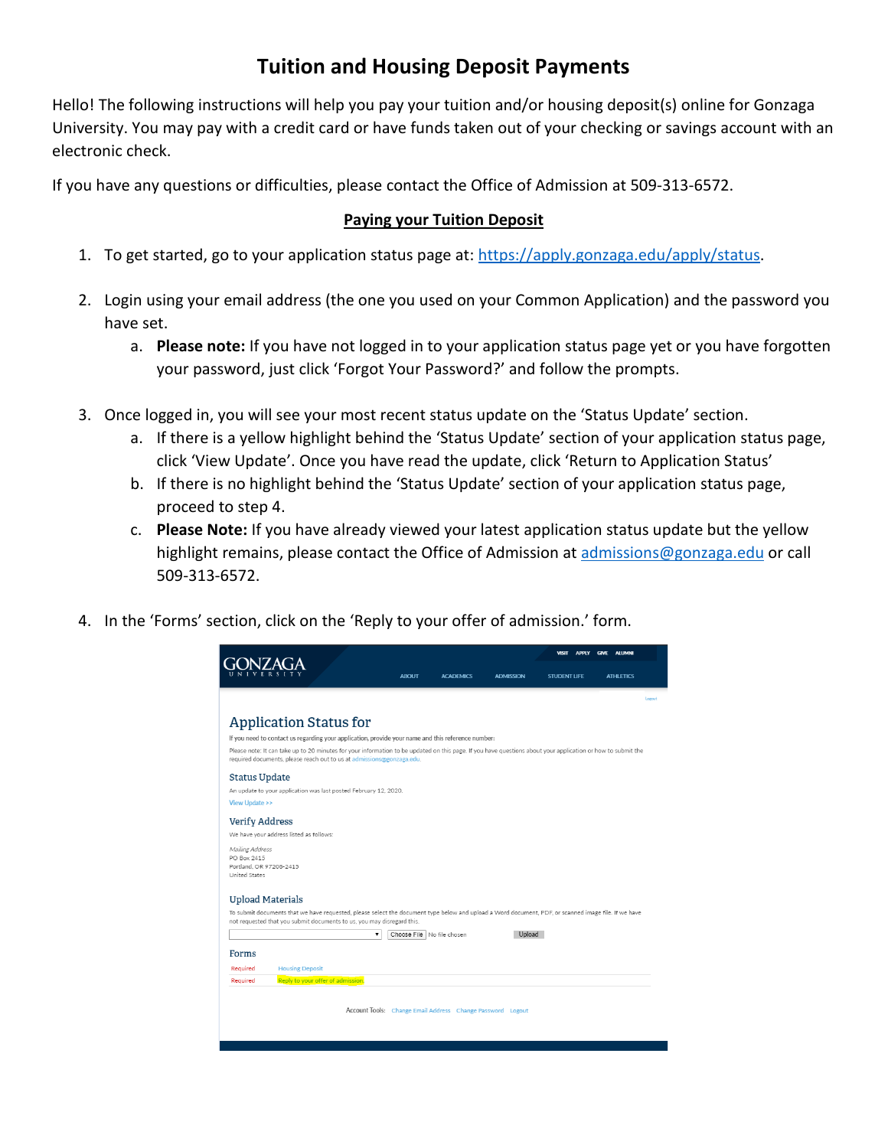## **Tuition and Housing Deposit Payments**

Hello! The following instructions will help you pay your tuition and/or housing deposit(s) online for Gonzaga University. You may pay with a credit card or have funds taken out of your checking or savings account with an electronic check.

If you have any questions or difficulties, please contact the Office of Admission at 509-313-6572.

## **Paying your Tuition Deposit**

- 1. To get started, go to your application status page at[: https://apply.gonzaga.edu/apply/status.](https://apply.gonzaga.edu/apply/status)
- 2. Login using your email address (the one you used on your Common Application) and the password you have set.
	- a. **Please note:** If you have not logged in to your application status page yet or you have forgotten your password, just click 'Forgot Your Password?' and follow the prompts.
- 3. Once logged in, you will see your most recent status update on the 'Status Update' section.
	- a. If there is a yellow highlight behind the 'Status Update' section of your application status page, click 'View Update'. Once you have read the update, click 'Return to Application Status'
	- b. If there is no highlight behind the 'Status Update' section of your application status page, proceed to step 4.
	- c. **Please Note:** If you have already viewed your latest application status update but the yellow highlight remains, please contact the Office of Admission at [admissions@gonzaga.edu](mailto:admissions@gonzaga.edu) or call 509-313-6572.
- 4. In the 'Forms' section, click on the 'Reply to your offer of admission.' form.

|                                                                                   |                                                                                                                                                                                                                                       |   |                                  |                  | <b>ALUMNI</b><br><b>VISIT</b><br><b>APPLY</b><br><b>GIVE</b> |                  |
|-----------------------------------------------------------------------------------|---------------------------------------------------------------------------------------------------------------------------------------------------------------------------------------------------------------------------------------|---|----------------------------------|------------------|--------------------------------------------------------------|------------------|
|                                                                                   |                                                                                                                                                                                                                                       |   | <b>ABOUT</b><br><b>ACADEMICS</b> | <b>ADMISSION</b> | <b>STUDENT LIFE</b>                                          | <b>ATHLETICS</b> |
|                                                                                   |                                                                                                                                                                                                                                       |   |                                  |                  |                                                              | Logout           |
|                                                                                   | <b>Application Status for</b>                                                                                                                                                                                                         |   |                                  |                  |                                                              |                  |
|                                                                                   | If you need to contact us regarding your application, provide your name and this reference number:                                                                                                                                    |   |                                  |                  |                                                              |                  |
|                                                                                   | Please note: It can take up to 20 minutes for your information to be updated on this page. If you have questions about your application or how to submit the<br>required documents, please reach out to us at admissions@gonzaga.edu. |   |                                  |                  |                                                              |                  |
| <b>Status Update</b>                                                              |                                                                                                                                                                                                                                       |   |                                  |                  |                                                              |                  |
|                                                                                   | An update to your application was last posted February 12, 2020.                                                                                                                                                                      |   |                                  |                  |                                                              |                  |
| <b>View Update &gt;&gt;</b>                                                       |                                                                                                                                                                                                                                       |   |                                  |                  |                                                              |                  |
| <b>Verify Address</b>                                                             |                                                                                                                                                                                                                                       |   |                                  |                  |                                                              |                  |
|                                                                                   | We have your address listed as follows:                                                                                                                                                                                               |   |                                  |                  |                                                              |                  |
| Mailing Address<br>PO Box 2415<br>Portland, OR 97208-2415<br><b>United States</b> |                                                                                                                                                                                                                                       |   |                                  |                  |                                                              |                  |
|                                                                                   |                                                                                                                                                                                                                                       |   |                                  |                  |                                                              |                  |
|                                                                                   |                                                                                                                                                                                                                                       |   |                                  |                  |                                                              |                  |
|                                                                                   |                                                                                                                                                                                                                                       |   |                                  |                  |                                                              |                  |
|                                                                                   | To submit documents that we have requested, please select the document type below and upload a Word document, PDF, or scanned image file. If we have                                                                                  |   |                                  |                  |                                                              |                  |
| <b>Upload Materials</b>                                                           | not requested that you submit documents to us, you may disregard this.                                                                                                                                                                |   |                                  |                  |                                                              |                  |
|                                                                                   |                                                                                                                                                                                                                                       | ۳ | Choose File   No file chosen     | Upload           |                                                              |                  |
| Forms                                                                             |                                                                                                                                                                                                                                       |   |                                  |                  |                                                              |                  |
| Required                                                                          | <b>Housing Deposit</b>                                                                                                                                                                                                                |   |                                  |                  |                                                              |                  |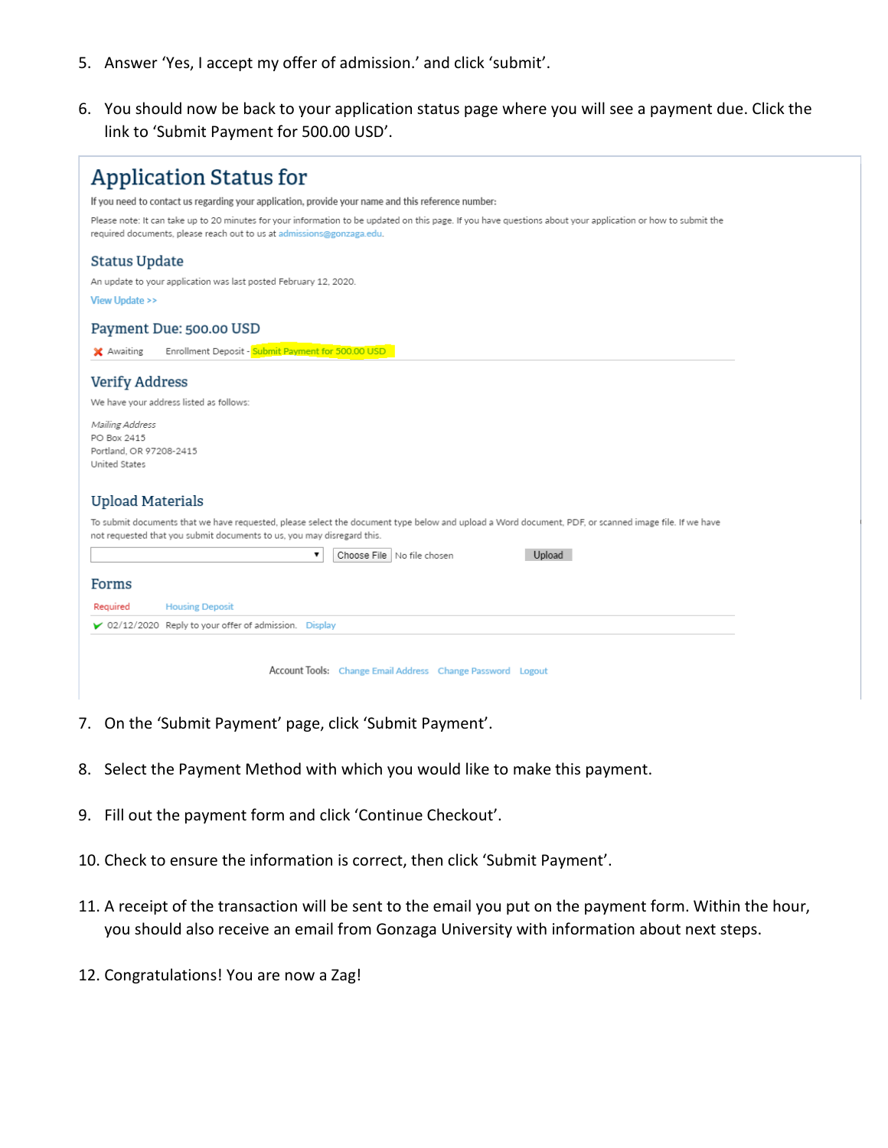- 5. Answer 'Yes, I accept my offer of admission.' and click 'submit'.
- 6. You should now be back to your application status page where you will see a payment due. Click the link to 'Submit Payment for 500.00 USD'.

| <b>Application Status for</b>                                                                                                                                                                                                         |  |  |  |  |  |
|---------------------------------------------------------------------------------------------------------------------------------------------------------------------------------------------------------------------------------------|--|--|--|--|--|
| If you need to contact us regarding your application, provide your name and this reference number:                                                                                                                                    |  |  |  |  |  |
| Please note: It can take up to 20 minutes for your information to be updated on this page. If you have questions about your application or how to submit the<br>required documents, please reach out to us at admissions@gonzaga.edu. |  |  |  |  |  |
| <b>Status Update</b>                                                                                                                                                                                                                  |  |  |  |  |  |
| An update to your application was last posted February 12, 2020.                                                                                                                                                                      |  |  |  |  |  |
| <b>View Update &gt;&gt;</b>                                                                                                                                                                                                           |  |  |  |  |  |
| Payment Due: 500.00 USD                                                                                                                                                                                                               |  |  |  |  |  |
| Enrollment Deposit - Submit Payment for 500.00 USD<br>X Awaiting                                                                                                                                                                      |  |  |  |  |  |
| <b>Verify Address</b>                                                                                                                                                                                                                 |  |  |  |  |  |
| We have your address listed as follows:                                                                                                                                                                                               |  |  |  |  |  |
| Mailing Address                                                                                                                                                                                                                       |  |  |  |  |  |
| PO Box 2415                                                                                                                                                                                                                           |  |  |  |  |  |
| Portland, OR 97208-2415<br>United States                                                                                                                                                                                              |  |  |  |  |  |
|                                                                                                                                                                                                                                       |  |  |  |  |  |
| <b>Upload Materials</b>                                                                                                                                                                                                               |  |  |  |  |  |
| To submit documents that we have requested, please select the document type below and upload a Word document, PDF, or scanned image file. If we have                                                                                  |  |  |  |  |  |
| not requested that you submit documents to us, you may disregard this.                                                                                                                                                                |  |  |  |  |  |
| 7<br>Choose File   No file chosen<br>Upload                                                                                                                                                                                           |  |  |  |  |  |
| Forms                                                                                                                                                                                                                                 |  |  |  |  |  |
| Required<br><b>Housing Deposit</b>                                                                                                                                                                                                    |  |  |  |  |  |
| $\triangleright$ 02/12/2020 Reply to your offer of admission. Display                                                                                                                                                                 |  |  |  |  |  |
|                                                                                                                                                                                                                                       |  |  |  |  |  |
| Account Tools: Change Email Address Change Password Logout                                                                                                                                                                            |  |  |  |  |  |

- 7. On the 'Submit Payment' page, click 'Submit Payment'.
- 8. Select the Payment Method with which you would like to make this payment.
- 9. Fill out the payment form and click 'Continue Checkout'.
- 10. Check to ensure the information is correct, then click 'Submit Payment'.
- 11. A receipt of the transaction will be sent to the email you put on the payment form. Within the hour, you should also receive an email from Gonzaga University with information about next steps.
- 12. Congratulations! You are now a Zag!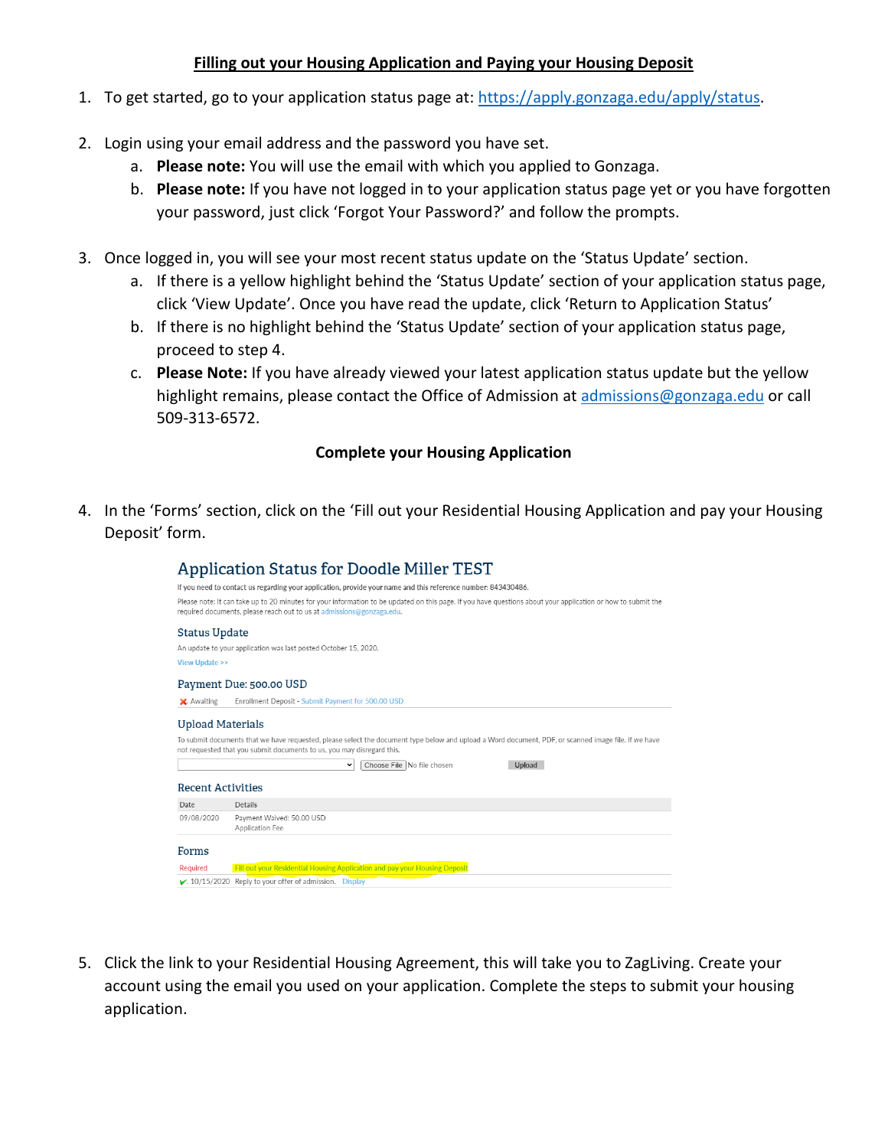## **Filling out your Housing Application and Paying your Housing Deposit**

- 1. To get started, go to your application status page at[: https://apply.gonzaga.edu/apply/status.](https://apply.gonzaga.edu/apply/status)
- 2. Login using your email address and the password you have set.
	- a. **Please note:** You will use the email with which you applied to Gonzaga.
	- b. **Please note:** If you have not logged in to your application status page yet or you have forgotten your password, just click 'Forgot Your Password?' and follow the prompts.
- 3. Once logged in, you will see your most recent status update on the 'Status Update' section.
	- a. If there is a yellow highlight behind the 'Status Update' section of your application status page, click 'View Update'. Once you have read the update, click 'Return to Application Status'
	- b. If there is no highlight behind the 'Status Update' section of your application status page, proceed to step 4.
	- c. **Please Note:** If you have already viewed your latest application status update but the yellow highlight remains, please contact the Office of Admission at [admissions@gonzaga.edu](mailto:admissions@gonzaga.edu) or call 509-313-6572.

## **Complete your Housing Application**

4. In the 'Forms' section, click on the 'Fill out your Residential Housing Application and pay your Housing Deposit' form.

|                             | <b>Application Status for Doodle Miller TEST</b>                                                                                                                                                                                      |
|-----------------------------|---------------------------------------------------------------------------------------------------------------------------------------------------------------------------------------------------------------------------------------|
|                             | If you need to contact us regarding your application, provide your name and this reference number: 843430486.                                                                                                                         |
|                             | Please note: It can take up to 20 minutes for your information to be updated on this page. If you have questions about your application or how to submit the<br>required documents, please reach out to us at admissions@gonzaga.edu. |
| <b>Status Update</b>        |                                                                                                                                                                                                                                       |
|                             | An update to your application was last posted October 15, 2020.                                                                                                                                                                       |
| <b>View Update &gt;&gt;</b> |                                                                                                                                                                                                                                       |
|                             | Payment Due: 500.00 USD                                                                                                                                                                                                               |
| X. Awaiting                 | Enrollment Deposit - Submit Payment for 500.00 USD                                                                                                                                                                                    |
| <b>Upload Materials</b>     | To submit documents that we have requested, please select the document type below and upload a Word document, PDF, or scanned image file. If we have                                                                                  |
|                             | not requested that you submit documents to us, you may disregard this.                                                                                                                                                                |
|                             | Upload<br>Choose File No file chosen<br>◡                                                                                                                                                                                             |
| <b>Recent Activities</b>    |                                                                                                                                                                                                                                       |
| Date                        | <b>Details</b>                                                                                                                                                                                                                        |
| 09/08/2020                  | Payment Waived: 50.00 USD<br>Application Fee                                                                                                                                                                                          |
| Forms                       |                                                                                                                                                                                                                                       |
| Required                    | Fill out your Residential Housing Application and pay your Housing Deposit                                                                                                                                                            |
|                             | $\blacktriangleright$ , 10/15/2020 Reply to your offer of admission. Display                                                                                                                                                          |
|                             |                                                                                                                                                                                                                                       |

5. Click the link to your Residential Housing Agreement, this will take you to ZagLiving. Create your account using the email you used on your application. Complete the steps to submit your housing application.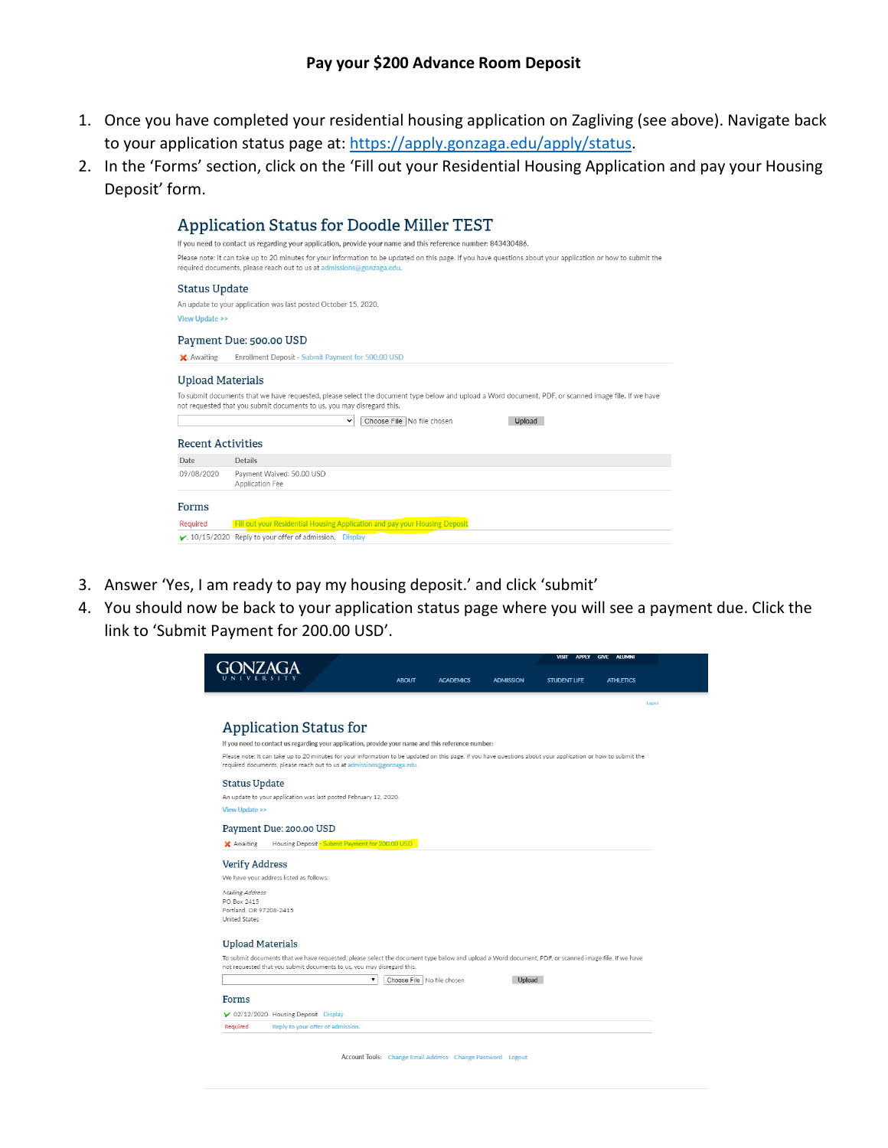- 1. Once you have completed your residential housing application on Zagliving (see above). Navigate back to your application status page at: [https://apply.gonzaga.edu/apply/status.](https://apply.gonzaga.edu/apply/status)
- 2. In the 'Forms' section, click on the 'Fill out your Residential Housing Application and pay your Housing Deposit' form.

- 3. Answer 'Yes, I am ready to pay my housing deposit.' and click 'submit'
- 4. You should now be back to your application status page where you will see a payment due. Click the link to 'Submit Payment for 200.00 USD'.



Account Tools: Change Email Address Change Password Logout